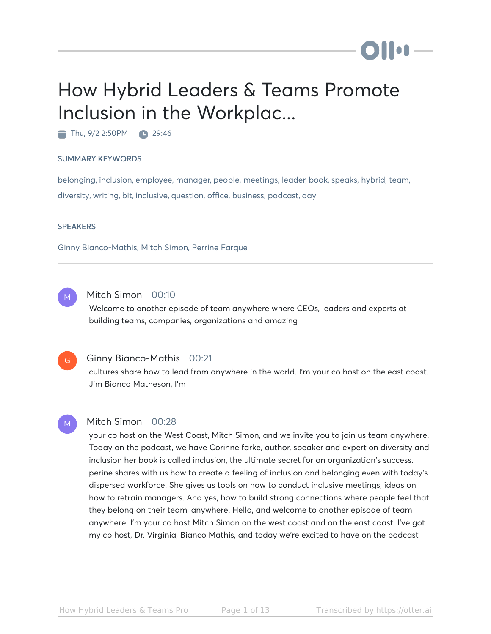# How Hybrid Leaders & Teams Promote Inclusion in the Workplac...

Thu, 9/2 2:50PM 29:46

#### SUMMARY KEYWORDS

belonging, inclusion, employee, manager, people, meetings, leader, book, speaks, hybrid, team, diversity, writing, bit, inclusive, question, office, business, podcast, day

#### **SPEAKERS**

Ginny Bianco-Mathis, Mitch Simon, Perrine Farque



# Mitch Simon 00:10

Welcome to another episode of team anywhere where CEOs, leaders and experts at building teams, companies, organizations and amazing



M

### Ginny Bianco-Mathis 00:21

cultures share how to lead from anywhere in the world. I'm your co host on the east coast. Jim Bianco Matheson, I'm

#### Mitch Simon 00:28

your co host on the West Coast, Mitch Simon, and we invite you to join us team anywhere. Today on the podcast, we have Corinne farke, author, speaker and expert on diversity and inclusion her book is called inclusion, the ultimate secret for an organization's success. perine shares with us how to create a feeling of inclusion and belonging even with today's dispersed workforce. She gives us tools on how to conduct inclusive meetings, ideas on how to retrain managers. And yes, how to build strong connections where people feel that they belong on their team, anywhere. Hello, and welcome to another episode of team anywhere. I'm your co host Mitch Simon on the west coast and on the east coast. I've got my co host, Dr. Virginia, Bianco Mathis, and today we're excited to have on the podcast

Ho I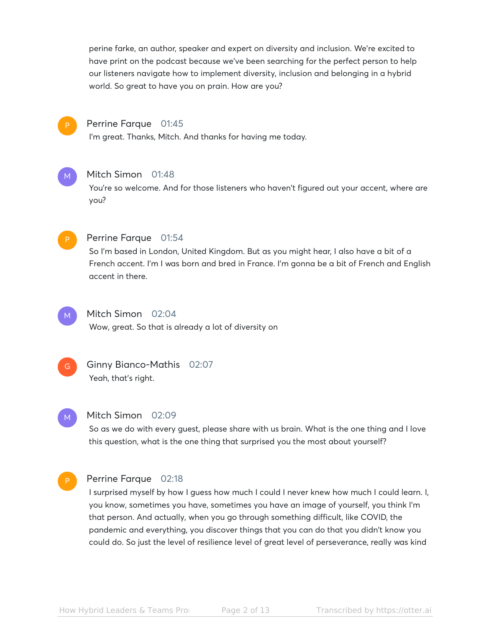perine farke, an author, speaker and expert on diversity and inclusion. We're excited to have print on the podcast because we've been searching for the perfect person to help our listeners navigate how to implement diversity, inclusion and belonging in a hybrid world. So great to have you on prain. How are you?



## Perrine Farque 01:45

I'm great. Thanks, Mitch. And thanks for having me today.



#### Mitch Simon 01:48

You're so welcome. And for those listeners who haven't figured out your accent, where are you?



#### Perrine Farque 01:54

So I'm based in London, United Kingdom. But as you might hear, I also have a bit of a French accent. I'm I was born and bred in France. I'm gonna be a bit of French and English accent in there.



# Mitch Simon 02:04

Wow, great. So that is already a lot of diversity on



# Ginny Bianco-Mathis 02:07 Yeah, that's right.

#### M

### Mitch Simon 02:09

So as we do with every guest, please share with us brain. What is the one thing and I love this question, what is the one thing that surprised you the most about yourself?

# Perrine Farque 02:18

I surprised myself by how I guess how much I could I never knew how much I could learn. I, you know, sometimes you have, sometimes you have an image of yourself, you think I'm that person. And actually, when you go through something difficult, like COVID, the pandemic and everything, you discover things that you can do that you didn't know you could do. So just the level of resilience level of great level of perseverance, really was kind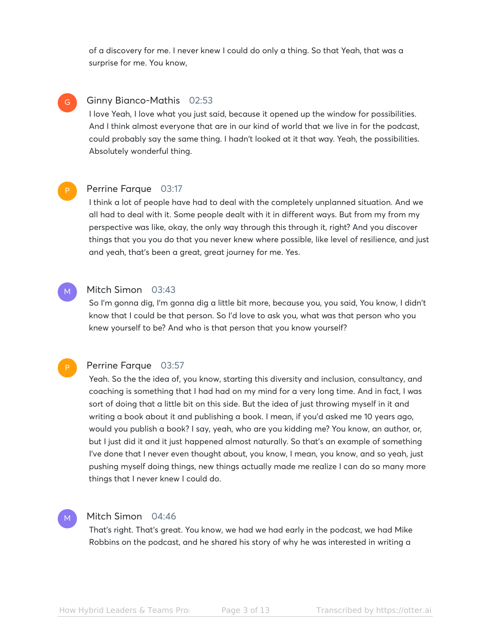of a discovery for me. I never knew I could do only a thing. So that Yeah, that was a surprise for me. You know,

## Ginny Bianco-Mathis 02:53

I love Yeah, I love what you just said, because it opened up the window for possibilities. And I think almost everyone that are in our kind of world that we live in for the podcast, could probably say the same thing. I hadn't looked at it that way. Yeah, the possibilities. Absolutely wonderful thing.

#### Perrine Farque 03:17 P

G

M

P

M

I think a lot of people have had to deal with the completely unplanned situation. And we all had to deal with it. Some people dealt with it in different ways. But from my from my perspective was like, okay, the only way through this through it, right? And you discover things that you you do that you never knew where possible, like level of resilience, and just and yeah, that's been a great, great journey for me. Yes.

#### Mitch Simon 03:43

So I'm gonna dig, I'm gonna dig a little bit more, because you, you said, You know, I didn't know that I could be that person. So I'd love to ask you, what was that person who you knew yourself to be? And who is that person that you know yourself?

### Perrine Farque 03:57

Yeah. So the the idea of, you know, starting this diversity and inclusion, consultancy, and coaching is something that I had had on my mind for a very long time. And in fact, I was sort of doing that a little bit on this side. But the idea of just throwing myself in it and writing a book about it and publishing a book. I mean, if you'd asked me 10 years ago, would you publish a book? I say, yeah, who are you kidding me? You know, an author, or, but I just did it and it just happened almost naturally. So that's an example of something I've done that I never even thought about, you know, I mean, you know, and so yeah, just pushing myself doing things, new things actually made me realize I can do so many more things that I never knew I could do.

# Mitch Simon 04:46

That's right. That's great. You know, we had we had early in the podcast, we had Mike Robbins on the podcast, and he shared his story of why he was interested in writing a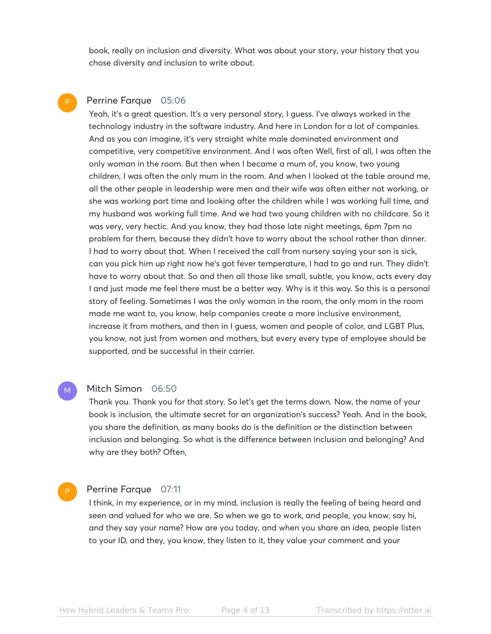book, really on inclusion and diversity. What was about your story, your history that you chose diversity and inclusion to write about.

#### Perrine Farque 05:06 P

Yeah, it's a great question. It's a very personal story, I guess. I've always worked in the technology industry in the software industry. And here in London for a lot of companies. And as you can imagine, it's very straight white male dominated environment and competitive, very competitive environment. And I was often Well, first of all, I was often the only woman in the room. But then when I became a mum of, you know, two young children, I was often the only mum in the room. And when I looked at the table around me, all the other people in leadership were men and their wife was often either not working, or she was working part time and looking after the children while I was working full time, and my husband was working full time. And we had two young children with no childcare. So it was very, very hectic. And you know, they had those late night meetings, 6pm 7pm no problem for them, because they didn't have to worry about the school rather than dinner. I had to worry about that. When I received the call from nursery saying your son is sick, can you pick him up right now he's got fever temperature, I had to go and run. They didn't have to worry about that. So and then all those like small, subtle, you know, acts every day I and just made me feel there must be a better way. Why is it this way. So this is a personal story of feeling. Sometimes I was the only woman in the room, the only mom in the room made me want to, you know, help companies create a more inclusive environment, increase it from mothers, and then in I guess, women and people of color, and LGBT Plus, you know, not just from women and mothers, but every every type of employee should be supported, and be successful in their carrier.

#### Mitch Simon 06:50 M

Thank you. Thank you for that story. So let's get the terms down. Now, the name of your book is inclusion, the ultimate secret for an organization's success? Yeah. And in the book, you share the definition, as many books do is the definition or the distinction between inclusion and belonging. So what is the difference between inclusion and belonging? And why are they both? Often,

#### Perrine Farque 07:11

P

I think, in my experience, or in my mind, inclusion is really the feeling of being heard and seen and valued for who we are. So when we go to work, and people, you know, say hi, and they say your name? How are you today, and when you share an idea, people listen to your ID, and they, you know, they listen to it, they value your comment and your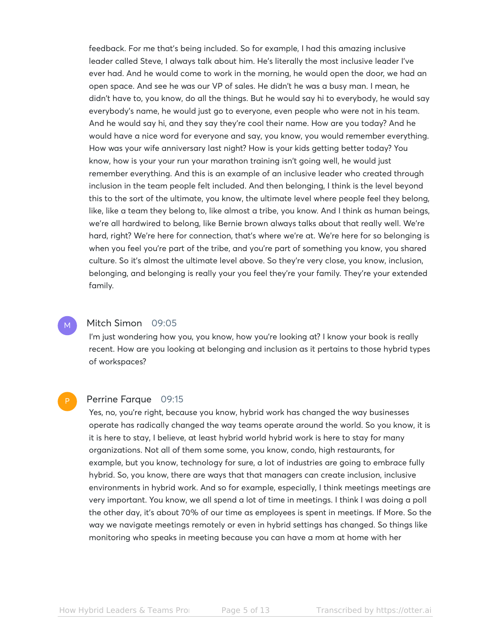feedback. For me that's being included. So for example, I had this amazing inclusive leader called Steve, I always talk about him. He's literally the most inclusive leader I've ever had. And he would come to work in the morning, he would open the door, we had an open space. And see he was our VP of sales. He didn't he was a busy man. I mean, he didn't have to, you know, do all the things. But he would say hi to everybody, he would say everybody's name, he would just go to everyone, even people who were not in his team. And he would say hi, and they say they're cool their name. How are you today? And he would have a nice word for everyone and say, you know, you would remember everything. How was your wife anniversary last night? How is your kids getting better today? You know, how is your your run your marathon training isn't going well, he would just remember everything. And this is an example of an inclusive leader who created through inclusion in the team people felt included. And then belonging, I think is the level beyond this to the sort of the ultimate, you know, the ultimate level where people feel they belong, like, like a team they belong to, like almost a tribe, you know. And I think as human beings, we're all hardwired to belong, like Bernie brown always talks about that really well. We're hard, right? We're here for connection, that's where we're at. We're here for so belonging is when you feel you're part of the tribe, and you're part of something you know, you shared culture. So it's almost the ultimate level above. So they're very close, you know, inclusion, belonging, and belonging is really your you feel they're your family. They're your extended family.

### Mitch Simon 09:05

M

I'm just wondering how you, you know, how you're looking at? I know your book is really recent. How are you looking at belonging and inclusion as it pertains to those hybrid types of workspaces?

#### Perrine Farque 09:15 P

Yes, no, you're right, because you know, hybrid work has changed the way businesses operate has radically changed the way teams operate around the world. So you know, it is it is here to stay, I believe, at least hybrid world hybrid work is here to stay for many organizations. Not all of them some some, you know, condo, high restaurants, for example, but you know, technology for sure, a lot of industries are going to embrace fully hybrid. So, you know, there are ways that that managers can create inclusion, inclusive environments in hybrid work. And so for example, especially, I think meetings meetings are very important. You know, we all spend a lot of time in meetings. I think I was doing a poll the other day, it's about 70% of our time as employees is spent in meetings. If More. So the way we navigate meetings remotely or even in hybrid settings has changed. So things like monitoring who speaks in meeting because you can have a mom at home with her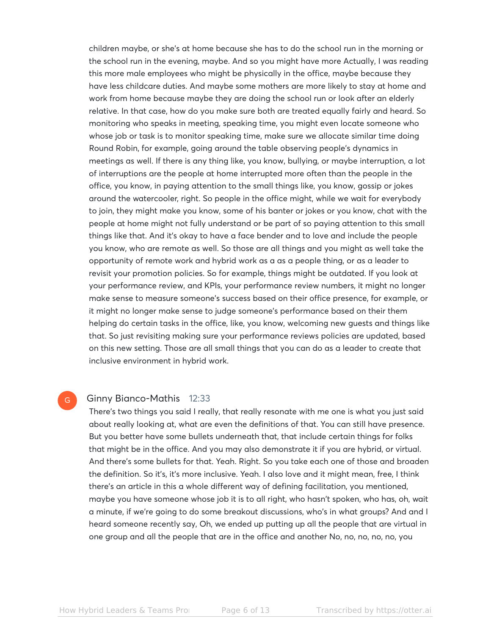children maybe, or she's at home because she has to do the school run in the morning or the school run in the evening, maybe. And so you might have more Actually, I was reading this more male employees who might be physically in the office, maybe because they have less childcare duties. And maybe some mothers are more likely to stay at home and work from home because maybe they are doing the school run or look after an elderly relative. In that case, how do you make sure both are treated equally fairly and heard. So monitoring who speaks in meeting, speaking time, you might even locate someone who whose job or task is to monitor speaking time, make sure we allocate similar time doing Round Robin, for example, going around the table observing people's dynamics in meetings as well. If there is any thing like, you know, bullying, or maybe interruption, a lot of interruptions are the people at home interrupted more often than the people in the office, you know, in paying attention to the small things like, you know, gossip or jokes around the watercooler, right. So people in the office might, while we wait for everybody to join, they might make you know, some of his banter or jokes or you know, chat with the people at home might not fully understand or be part of so paying attention to this small things like that. And it's okay to have a face bender and to love and include the people you know, who are remote as well. So those are all things and you might as well take the opportunity of remote work and hybrid work as a as a people thing, or as a leader to revisit your promotion policies. So for example, things might be outdated. If you look at your performance review, and KPIs, your performance review numbers, it might no longer make sense to measure someone's success based on their office presence, for example, or it might no longer make sense to judge someone's performance based on their them helping do certain tasks in the office, like, you know, welcoming new guests and things like that. So just revisiting making sure your performance reviews policies are updated, based on this new setting. Those are all small things that you can do as a leader to create that inclusive environment in hybrid work.

#### G

#### Ginny Bianco-Mathis 12:33

There's two things you said I really, that really resonate with me one is what you just said about really looking at, what are even the definitions of that. You can still have presence. But you better have some bullets underneath that, that include certain things for folks that might be in the office. And you may also demonstrate it if you are hybrid, or virtual. And there's some bullets for that. Yeah. Right. So you take each one of those and broaden the definition. So it's, it's more inclusive. Yeah. I also love and it might mean, free, I think there's an article in this a whole different way of defining facilitation, you mentioned, maybe you have someone whose job it is to all right, who hasn't spoken, who has, oh, wait a minute, if we're going to do some breakout discussions, who's in what groups? And and I heard someone recently say, Oh, we ended up putting up all the people that are virtual in one group and all the people that are in the office and another No, no, no, no, no, you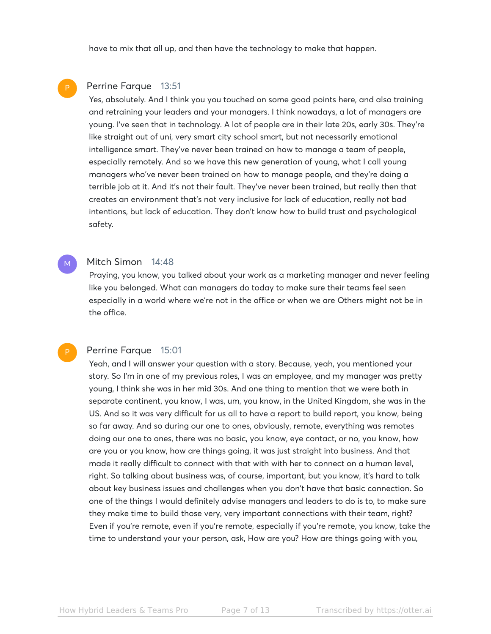have to mix that all up, and then have the technology to make that happen.

## Perrine Farque 13:51

Yes, absolutely. And I think you you touched on some good points here, and also training and retraining your leaders and your managers. I think nowadays, a lot of managers are young. I've seen that in technology. A lot of people are in their late 20s, early 30s. They're like straight out of uni, very smart city school smart, but not necessarily emotional intelligence smart. They've never been trained on how to manage a team of people, especially remotely. And so we have this new generation of young, what I call young managers who've never been trained on how to manage people, and they're doing a terrible job at it. And it's not their fault. They've never been trained, but really then that creates an environment that's not very inclusive for lack of education, really not bad intentions, but lack of education. They don't know how to build trust and psychological safety.

### Mitch Simon 14:48

Praying, you know, you talked about your work as a marketing manager and never feeling like you belonged. What can managers do today to make sure their teams feel seen especially in a world where we're not in the office or when we are Others might not be in the office.

#### Perrine Farque 15:01

Yeah, and I will answer your question with a story. Because, yeah, you mentioned your story. So I'm in one of my previous roles, I was an employee, and my manager was pretty young, I think she was in her mid 30s. And one thing to mention that we were both in separate continent, you know, I was, um, you know, in the United Kingdom, she was in the US. And so it was very difficult for us all to have a report to build report, you know, being so far away. And so during our one to ones, obviously, remote, everything was remotes doing our one to ones, there was no basic, you know, eye contact, or no, you know, how are you or you know, how are things going, it was just straight into business. And that made it really difficult to connect with that with with her to connect on a human level, right. So talking about business was, of course, important, but you know, it's hard to talk about key business issues and challenges when you don't have that basic connection. So one of the things I would definitely advise managers and leaders to do is to, to make sure they make time to build those very, very important connections with their team, right? Even if you're remote, even if you're remote, especially if you're remote, you know, take the time to understand your your person, ask, How are you? How are things going with you,

M

P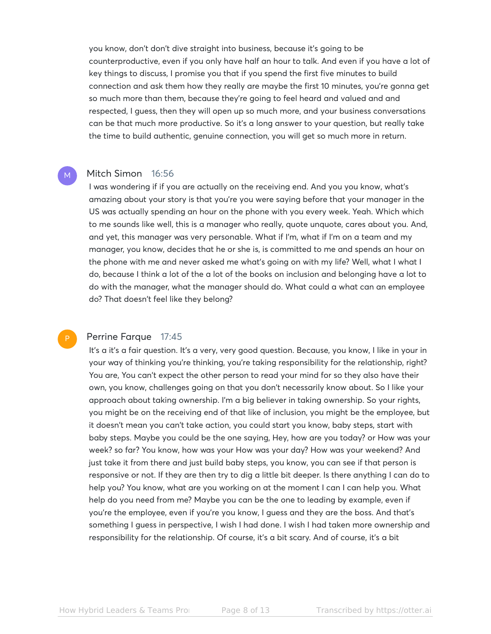you know, don't don't dive straight into business, because it's going to be counterproductive, even if you only have half an hour to talk. And even if you have a lot of key things to discuss, I promise you that if you spend the first five minutes to build connection and ask them how they really are maybe the first 10 minutes, you're gonna get so much more than them, because they're going to feel heard and valued and and respected, I guess, then they will open up so much more, and your business conversations can be that much more productive. So it's a long answer to your question, but really take the time to build authentic, genuine connection, you will get so much more in return.

#### Mitch Simon 16:56

M

P

I was wondering if if you are actually on the receiving end. And you you know, what's amazing about your story is that you're you were saying before that your manager in the US was actually spending an hour on the phone with you every week. Yeah. Which which to me sounds like well, this is a manager who really, quote unquote, cares about you. And, and yet, this manager was very personable. What if I'm, what if I'm on a team and my manager, you know, decides that he or she is, is committed to me and spends an hour on the phone with me and never asked me what's going on with my life? Well, what I what I do, because I think a lot of the a lot of the books on inclusion and belonging have a lot to do with the manager, what the manager should do. What could a what can an employee do? That doesn't feel like they belong?

### Perrine Farque 17:45

It's a it's a fair question. It's a very, very good question. Because, you know, I like in your in your way of thinking you're thinking, you're taking responsibility for the relationship, right? You are, You can't expect the other person to read your mind for so they also have their own, you know, challenges going on that you don't necessarily know about. So I like your approach about taking ownership. I'm a big believer in taking ownership. So your rights, you might be on the receiving end of that like of inclusion, you might be the employee, but it doesn't mean you can't take action, you could start you know, baby steps, start with baby steps. Maybe you could be the one saying, Hey, how are you today? or How was your week? so far? You know, how was your How was your day? How was your weekend? And just take it from there and just build baby steps, you know, you can see if that person is responsive or not. If they are then try to dig a little bit deeper. Is there anything I can do to help you? You know, what are you working on at the moment I can I can help you. What help do you need from me? Maybe you can be the one to leading by example, even if you're the employee, even if you're you know, I guess and they are the boss. And that's something I guess in perspective, I wish I had done. I wish I had taken more ownership and responsibility for the relationship. Of course, it's a bit scary. And of course, it's a bit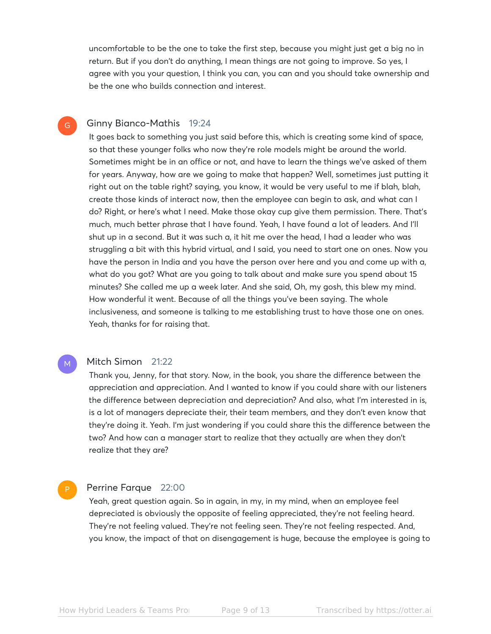uncomfortable to be the one to take the first step, because you might just get a big no in return. But if you don't do anything, I mean things are not going to improve. So yes, I agree with you your question, I think you can, you can and you should take ownership and be the one who builds connection and interest.

#### Ginny Bianco-Mathis 19:24 G

It goes back to something you just said before this, which is creating some kind of space, so that these younger folks who now they're role models might be around the world. Sometimes might be in an office or not, and have to learn the things we've asked of them for years. Anyway, how are we going to make that happen? Well, sometimes just putting it right out on the table right? saying, you know, it would be very useful to me if blah, blah, create those kinds of interact now, then the employee can begin to ask, and what can I do? Right, or here's what I need. Make those okay cup give them permission. There. That's much, much better phrase that I have found. Yeah, I have found a lot of leaders. And I'll shut up in a second. But it was such a, it hit me over the head, I had a leader who was struggling a bit with this hybrid virtual, and I said, you need to start one on ones. Now you have the person in India and you have the person over here and you and come up with a, what do you got? What are you going to talk about and make sure you spend about 15 minutes? She called me up a week later. And she said, Oh, my gosh, this blew my mind. How wonderful it went. Because of all the things you've been saying. The whole inclusiveness, and someone is talking to me establishing trust to have those one on ones. Yeah, thanks for for raising that.

# Mitch Simon 21:22

M

Thank you, Jenny, for that story. Now, in the book, you share the difference between the appreciation and appreciation. And I wanted to know if you could share with our listeners the difference between depreciation and depreciation? And also, what I'm interested in is, is a lot of managers depreciate their, their team members, and they don't even know that they're doing it. Yeah. I'm just wondering if you could share this the difference between the two? And how can a manager start to realize that they actually are when they don't realize that they are?

#### Perrine Farque 22:00 P

Yeah, great question again. So in again, in my, in my mind, when an employee feel depreciated is obviously the opposite of feeling appreciated, they're not feeling heard. They're not feeling valued. They're not feeling seen. They're not feeling respected. And, you know, the impact of that on disengagement is huge, because the employee is going to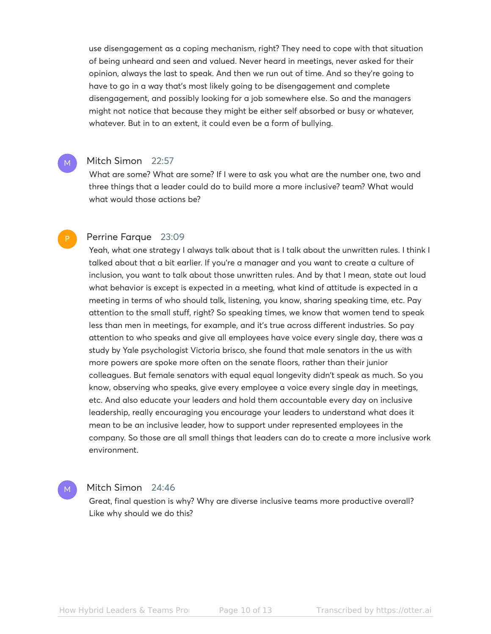use disengagement as a coping mechanism, right? They need to cope with that situation of being unheard and seen and valued. Never heard in meetings, never asked for their opinion, always the last to speak. And then we run out of time. And so they're going to have to go in a way that's most likely going to be disengagement and complete disengagement, and possibly looking for a job somewhere else. So and the managers might not notice that because they might be either self absorbed or busy or whatever, whatever. But in to an extent, it could even be a form of bullying.

#### Mitch Simon 22:57

M

P

What are some? What are some? If I were to ask you what are the number one, two and three things that a leader could do to build more a more inclusive? team? What would what would those actions be?

#### Perrine Farque 23:09

Yeah, what one strategy I always talk about that is I talk about the unwritten rules. I think I talked about that a bit earlier. If you're a manager and you want to create a culture of inclusion, you want to talk about those unwritten rules. And by that I mean, state out loud what behavior is except is expected in a meeting, what kind of attitude is expected in a meeting in terms of who should talk, listening, you know, sharing speaking time, etc. Pay attention to the small stuff, right? So speaking times, we know that women tend to speak less than men in meetings, for example, and it's true across different industries. So pay attention to who speaks and give all employees have voice every single day, there was a study by Yale psychologist Victoria brisco, she found that male senators in the us with more powers are spoke more often on the senate floors, rather than their junior colleagues. But female senators with equal equal longevity didn't speak as much. So you know, observing who speaks, give every employee a voice every single day in meetings, etc. And also educate your leaders and hold them accountable every day on inclusive leadership, really encouraging you encourage your leaders to understand what does it mean to be an inclusive leader, how to support under represented employees in the company. So those are all small things that leaders can do to create a more inclusive work environment.

#### Mitch Simon 24:46 M

Great, final question is why? Why are diverse inclusive teams more productive overall? Like why should we do this?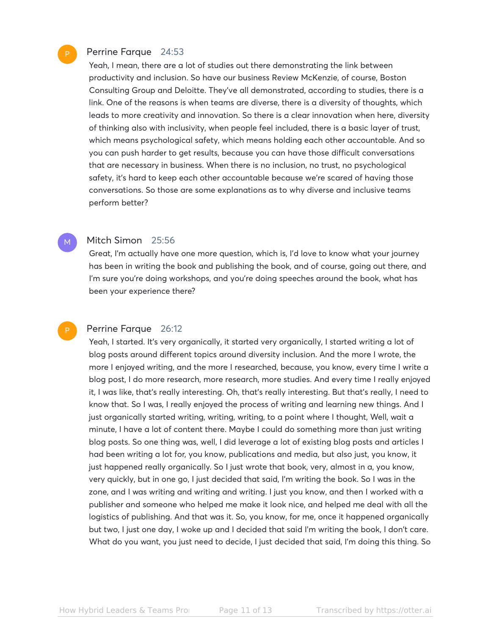# Perrine Farque 24:53

Yeah, I mean, there are a lot of studies out there demonstrating the link between productivity and inclusion. So have our business Review McKenzie, of course, Boston Consulting Group and Deloitte. They've all demonstrated, according to studies, there is a link. One of the reasons is when teams are diverse, there is a diversity of thoughts, which leads to more creativity and innovation. So there is a clear innovation when here, diversity of thinking also with inclusivity, when people feel included, there is a basic layer of trust, which means psychological safety, which means holding each other accountable. And so you can push harder to get results, because you can have those difficult conversations that are necessary in business. When there is no inclusion, no trust, no psychological safety, it's hard to keep each other accountable because we're scared of having those conversations. So those are some explanations as to why diverse and inclusive teams perform better?

### Mitch Simon 25:56

Great, I'm actually have one more question, which is, I'd love to know what your journey has been in writing the book and publishing the book, and of course, going out there, and I'm sure you're doing workshops, and you're doing speeches around the book, what has been your experience there?

### Perrine Farque 26:12

Yeah, I started. It's very organically, it started very organically, I started writing a lot of blog posts around different topics around diversity inclusion. And the more I wrote, the more I enjoyed writing, and the more I researched, because, you know, every time I write a blog post, I do more research, more research, more studies. And every time I really enjoyed it, I was like, that's really interesting. Oh, that's really interesting. But that's really, I need to know that. So I was, I really enjoyed the process of writing and learning new things. And I just organically started writing, writing, writing, to a point where I thought, Well, wait a minute, I have a lot of content there. Maybe I could do something more than just writing blog posts. So one thing was, well, I did leverage a lot of existing blog posts and articles I had been writing a lot for, you know, publications and media, but also just, you know, it just happened really organically. So I just wrote that book, very, almost in a, you know, very quickly, but in one go, I just decided that said, I'm writing the book. So I was in the zone, and I was writing and writing and writing. I just you know, and then I worked with a publisher and someone who helped me make it look nice, and helped me deal with all the logistics of publishing. And that was it. So, you know, for me, once it happened organically but two, I just one day, I woke up and I decided that said I'm writing the book, I don't care. What do you want, you just need to decide, I just decided that said, I'm doing this thing. So

P

M

P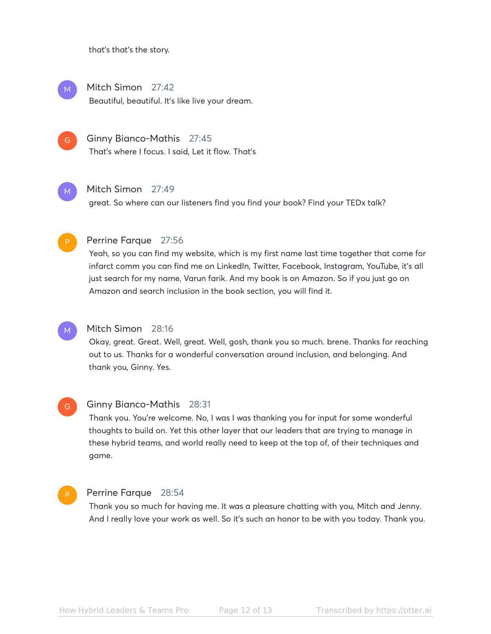that's that's the story.

Mitch Simon 27:42 Beautiful, beautiful. It's like live your dream. M

Ginny Bianco-Mathis 27:45 That's where I focus. I said, Let it flow. That's  $\overline{G}$ 

Mitch Simon 27:49 M

great. So where can our listeners find you find your book? Find your TEDx talk?



#### Perrine Farque 27:56

Yeah, so you can find my website, which is my first name last time together that come for infarct comm you can find me on LinkedIn, Twitter, Facebook, Instagram, YouTube, it's all just search for my name, Varun farik. And my book is on Amazon. So if you just go on Amazon and search inclusion in the book section, you will find it.

#### Mitch Simon 28:16 M

Okay, great. Great. Well, great. Well, gosh, thank you so much. brene. Thanks for reaching out to us. Thanks for a wonderful conversation around inclusion, and belonging. And thank you, Ginny. Yes.

Ginny Bianco-Mathis 28:31 Thank you. You're welcome. No, I was I was thanking you for input for some wonderful thoughts to build on. Yet this other layer that our leaders that are trying to manage in these hybrid teams, and world really need to keep at the top of, of their techniques and game. G

### P

#### Perrine Farque 28:54

Thank you so much for having me. It was a pleasure chatting with you, Mitch and Jenny. And I really love your work as well. So it's such an honor to be with you today. Thank you.